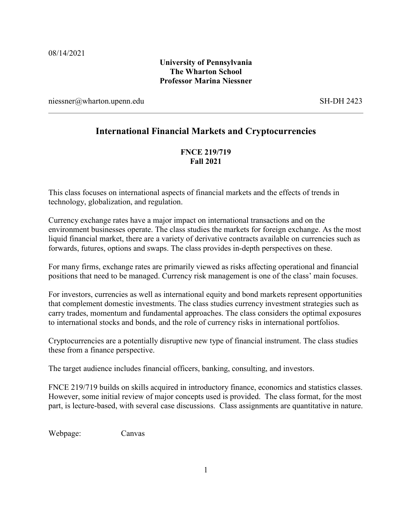# **University of Pennsylvania The Wharton School Professor Marina Niessner**

niessner@wharton.upenn.edu SH-DH 2423

# **International Financial Markets and Cryptocurrencies**

# **FNCE 219/719 Fall 2021**

This class focuses on international aspects of financial markets and the effects of trends in technology, globalization, and regulation.

Currency exchange rates have a major impact on international transactions and on the environment businesses operate. The class studies the markets for foreign exchange. As the most liquid financial market, there are a variety of derivative contracts available on currencies such as forwards, futures, options and swaps. The class provides in-depth perspectives on these.

For many firms, exchange rates are primarily viewed as risks affecting operational and financial positions that need to be managed. Currency risk management is one of the class' main focuses.

For investors, currencies as well as international equity and bond markets represent opportunities that complement domestic investments. The class studies currency investment strategies such as carry trades, momentum and fundamental approaches. The class considers the optimal exposures to international stocks and bonds, and the role of currency risks in international portfolios.

Cryptocurrencies are a potentially disruptive new type of financial instrument. The class studies these from a finance perspective.

The target audience includes financial officers, banking, consulting, and investors.

FNCE 219/719 builds on skills acquired in introductory finance, economics and statistics classes. However, some initial review of major concepts used is provided. The class format, for the most part, is lecture-based, with several case discussions. Class assignments are quantitative in nature.

Webpage:Canvas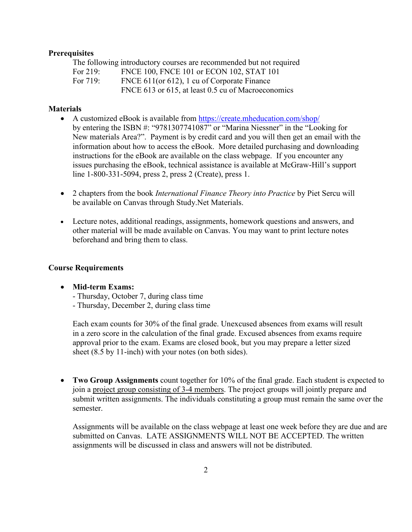### **Prerequisites**

The following introductory courses are recommended but not required For 219: FNCE 100, FNCE 101 or ECON 102, STAT 101 For 719: FNCE 611(or 612), 1 cu of Corporate Finance FNCE 613 or 615, at least 0.5 cu of Macroeconomics

### **Materials**

- A customized eBook is available from<https://create.mheducation.com/shop/> by entering the ISBN #: "9781307741087" or "Marina Niessner" in the "Looking for New materials Area?". Payment is by credit card and you will then get an email with the information about how to access the eBook. More detailed purchasing and downloading instructions for the eBook are available on the class webpage. If you encounter any issues purchasing the eBook, technical assistance is available at McGraw-Hill's support line 1-800-331-5094, press 2, press 2 (Create), press 1.
- 2 chapters from the book *International Finance Theory into Practice* by Piet Sercu will be available on Canvas through Study.Net Materials.
- Lecture notes, additional readings, assignments, homework questions and answers, and other material will be made available on Canvas. You may want to print lecture notes beforehand and bring them to class.

#### **Course Requirements**

- **Mid-term Exams:**
	- Thursday, October 7, during class time
	- Thursday, December 2, during class time

Each exam counts for 30% of the final grade. Unexcused absences from exams will result in a zero score in the calculation of the final grade. Excused absences from exams require approval prior to the exam. Exams are closed book, but you may prepare a letter sized sheet (8.5 by 11-inch) with your notes (on both sides).

• **Two Group Assignments** count together for 10% of the final grade. Each student is expected to join a project group consisting of 3-4 members. The project groups will jointly prepare and submit written assignments. The individuals constituting a group must remain the same over the semester.

Assignments will be available on the class webpage at least one week before they are due and are submitted on Canvas. LATE ASSIGNMENTS WILL NOT BE ACCEPTED. The written assignments will be discussed in class and answers will not be distributed.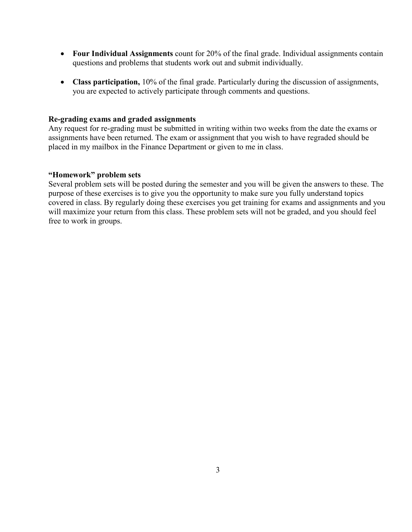- **Four Individual Assignments** count for 20% of the final grade. Individual assignments contain questions and problems that students work out and submit individually.
- **Class participation,** 10% of the final grade. Particularly during the discussion of assignments, you are expected to actively participate through comments and questions.

## **Re-grading exams and graded assignments**

Any request for re-grading must be submitted in writing within two weeks from the date the exams or assignments have been returned. The exam or assignment that you wish to have regraded should be placed in my mailbox in the Finance Department or given to me in class.

# **"Homework" problem sets**

Several problem sets will be posted during the semester and you will be given the answers to these. The purpose of these exercises is to give you the opportunity to make sure you fully understand topics covered in class. By regularly doing these exercises you get training for exams and assignments and you will maximize your return from this class. These problem sets will not be graded, and you should feel free to work in groups.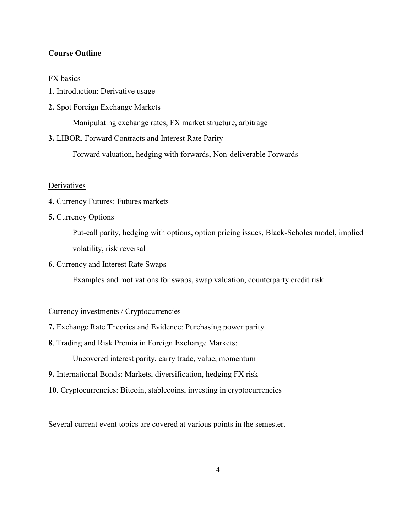# **Course Outline**

### FX basics

- **1**. Introduction: Derivative usage
- **2.** Spot Foreign Exchange Markets

Manipulating exchange rates, FX market structure, arbitrage

**3.** LIBOR, Forward Contracts and Interest Rate Parity

Forward valuation, hedging with forwards, Non-deliverable Forwards

#### **Derivatives**

- **4.** Currency Futures: Futures markets
- **5.** Currency Options

Put-call parity, hedging with options, option pricing issues, Black-Scholes model, implied volatility, risk reversal

**6**. Currency and Interest Rate Swaps

Examples and motivations for swaps, swap valuation, counterparty credit risk

### Currency investments / Cryptocurrencies

- **7.** Exchange Rate Theories and Evidence: Purchasing power parity
- **8**. Trading and Risk Premia in Foreign Exchange Markets:

Uncovered interest parity, carry trade, value, momentum

- **9.** International Bonds: Markets, diversification, hedging FX risk
- **10**. Cryptocurrencies: Bitcoin, stablecoins, investing in cryptocurrencies

Several current event topics are covered at various points in the semester.